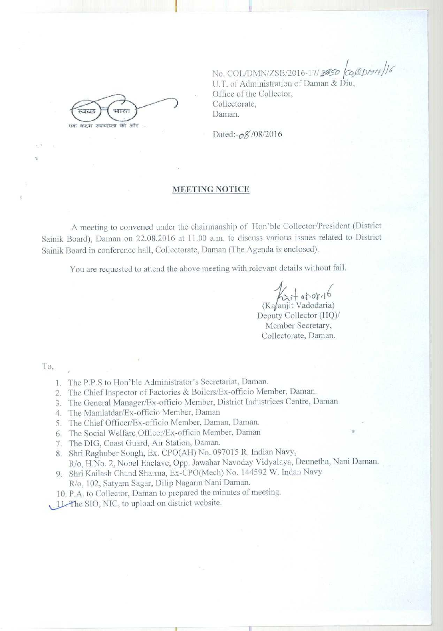धारत  $10100$ एक कदम स्वच्छता की ओर

No. COL/DMN/ZSB/2016-17/3850  $\cos\theta/16$ **l!. f. of Administration of Daman &. Diu, Office of the Collector, Collectorate, Daman.**

Dated:- $\frac{8}{108}$ /08/2016

## **MEETING NOTICE**

A meeting to convened **under the chairmanship** of' Ilon'ble Collector**/President** (District **Sainik Board**), **Daman** on 22.08-20 16 **at 1 1 .00 a.m. to discuss various issues related to District** Sainik Board in conference hall, Collectorate, Daman (The Agenda is enclosed).

You are requested to attend the above meeting with relevant details without fail.

 $d_1, q_0, q_0 +$ (Ka*f*anjit Vadodaria)

Deputy Collector (HQ)/ Member Secretary, Collectorate, Daman.

To,

- 1. The P.P.S to Hon'ble Administrator's Secretariat, Daman.
- 2. The Chief **Inspector** of Factories & **Boilers**!Ex-officio Member, **Daman.**
- 3. The General Manager/Ex-officio Member, District Industrices Centre, Daman
- 4. The Mamlatdar/Ex-officio Member, Daman
- 5. The Chief Officer/Ex-officio Member, Daman, Daman.
- 6. The Social Welfare Officer/Ex-officio Member, Daman
- 7. The DIG, Coast Guard, Air Station, Daman.
- 8. Shri Raghuber Songh, Ex. CPO(AH) No. 097015 R. Indian Navy,

Rio,1-I.No. 2, Nobel Enclave, Opp. Jawahar Navoday Vidyalaya, **Deunetha, Nani Daman.** 9. Shri Kailash Chand Sharma, Ex-CPO (Mech) No. 144592 W. Indan Navy

- R/o, 102, Satyam Sagar, Dilip Nagarin Nani Daman.
- 10. P.A. to Collector, Daman to prepared the **minutes of meeting.**
- 11. The SIO, NIC, to upload on district website.